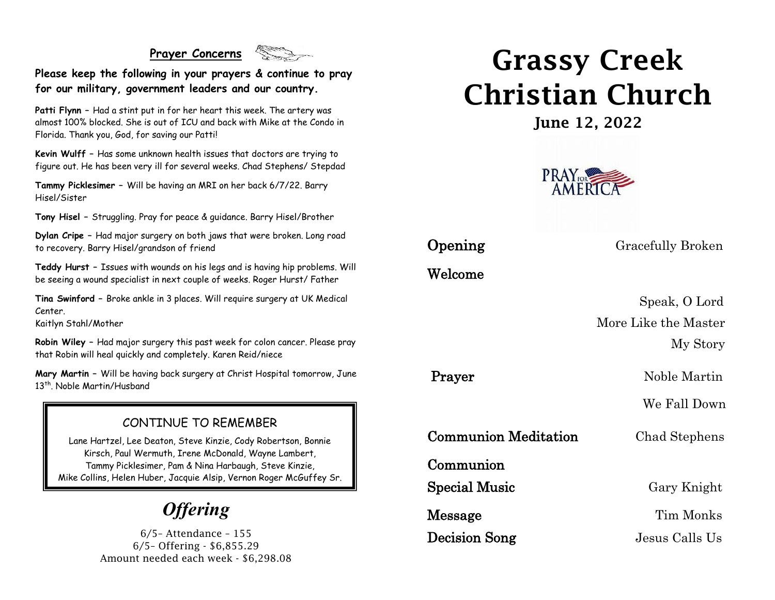#### **Prayer Concerns**



**Please keep the following in your prayers & continue to pray for our military, government leaders and our country.**

**Patti Flynn –** Had a stint put in for her heart this week. The artery was almost 100% blocked. She is out of ICU and back with Mike at the Condo in Florida. Thank you, God, for saving our Patti!

**Kevin Wulff –** Has some unknown health issues that doctors are trying to figure out. He has been very ill for several weeks. Chad Stephens/ Stepdad

**Tammy Picklesimer –** Will be having an MRI on her back 6/7/22. Barry Hisel/Sister

**Tony Hisel –** Struggling. Pray for peace & guidance. Barry Hisel/Brother

**Dylan Cripe –** Had major surgery on both jaws that were broken. Long road to recovery. Barry Hisel/grandson of friend

**Teddy Hurst –** Issues with wounds on his legs and is having hip problems. Will be seeing a wound specialist in next couple of weeks. Roger Hurst/ Father

**Tina Swinford –** Broke ankle in 3 places. Will require surgery at UK Medical Center.

Kaitlyn Stahl/Mother

**Robin Wiley –** Had major surgery this past week for colon cancer. Please pray that Robin will heal quickly and completely. Karen Reid/niece

**Mary Martin –** Will be having back surgery at Christ Hospital tomorrow, June 13<sup>th</sup>. Noble Martin/Husband

#### CONTINUE TO REMEMBER

Lane Hartzel, Lee Deaton, Steve Kinzie, Cody Robertson, Bonnie Kirsch, Paul Wermuth, Irene McDonald, Wayne Lambert, Tammy Picklesimer, Pam & Nina Harbaugh, Steve Kinzie, Mike Collins, Helen Huber, Jacquie Alsip, Vernon Roger McGuffey Sr.

# *Offering*

6/5– Attendance – 155 6/5– Offering - \$6,855.29 Amount needed each week - \$6,298.08

# Grassy Creek Christian Church

June 12, 2022



Welcome

**Opening** Gracefully Broken

 Speak, O Lord More Like the Master My Story

Prayer Noble Martin

We Fall Down

Communion Meditation Chad Stephens

Communion

Special Music Gary Knight

Decision Song Jesus Calls Us

Message Tim Monks